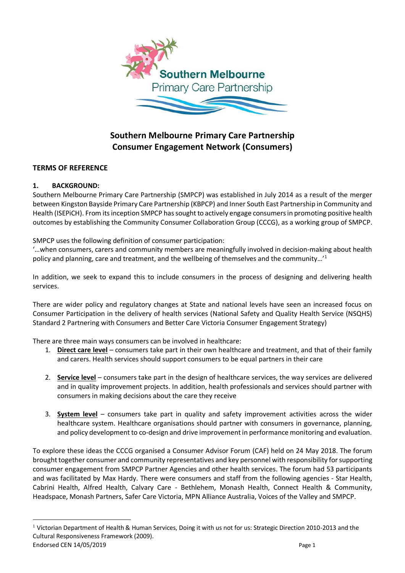

# **Southern Melbourne Primary Care Partnership Consumer Engagement Network (Consumers)**

## **TERMS OF REFERENCE**

## **1. BACKGROUND:**

 $\overline{a}$ 

Southern Melbourne Primary Care Partnership (SMPCP) was established in July 2014 as a result of the merger between Kingston Bayside Primary Care Partnership (KBPCP) and Inner South East Partnership in Community and Health (ISEPiCH). From its inception SMPCP has sought to actively engage consumers in promoting positive health outcomes by establishing the Community Consumer Collaboration Group (CCCG), as a working group of SMPCP.

SMPCP uses the following definition of consumer participation:

'…when consumers, carers and community members are meaningfully involved in decision-making about health policy and planning, care and treatment, and the wellbeing of themselves and the community…'<sup>1</sup>

In addition, we seek to expand this to include consumers in the process of designing and delivering health services.

There are wider policy and regulatory changes at State and national levels have seen an increased focus on Consumer Participation in the delivery of health services (National Safety and Quality Health Service (NSQHS) Standard 2 Partnering with Consumers and Better Care Victoria Consumer Engagement Strategy)

There are three main ways consumers can be involved in healthcare:

- 1. **Direct care level** consumers take part in their own healthcare and treatment, and that of their family and carers. Health services should support consumers to be equal partners in their care
- 2. **Service level** consumers take part in the design of healthcare services, the way services are delivered and in quality improvement projects. In addition, health professionals and services should partner with consumers in making decisions about the care they receive
- 3. **System level** consumers take part in quality and safety improvement activities across the wider healthcare system. Healthcare organisations should partner with consumers in governance, planning, and policy development to co-design and drive improvement in performance monitoring and evaluation.

To explore these ideas the CCCG organised a Consumer Advisor Forum (CAF) held on 24 May 2018. The forum brought together consumer and community representatives and key personnel with responsibility for supporting consumer engagement from SMPCP Partner Agencies and other health services. The forum had 53 participants and was facilitated by Max Hardy. There were consumers and staff from the following agencies - Star Health, Cabrini Health, Alfred Health, Calvary Care - Bethlehem, Monash Health, Connect Health & Community, Headspace, Monash Partners, Safer Care Victoria, MPN Alliance Australia, Voices of the Valley and SMPCP.

Endorsed CEN 14/05/2019 **Page 1** <sup>1</sup> Victorian Department of Health & Human Services, Doing it with us not for us: Strategic Direction 2010-2013 and the Cultural Responsiveness Framework (2009).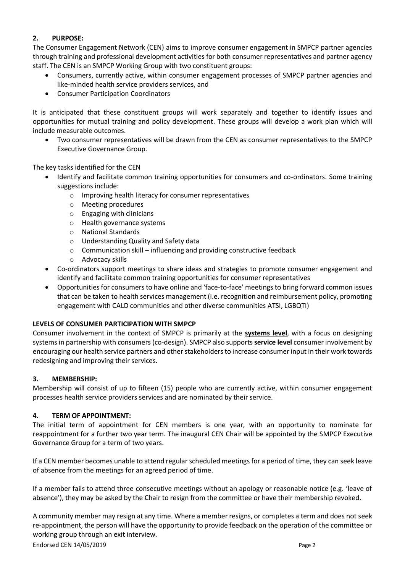## **2. PURPOSE:**

The Consumer Engagement Network (CEN) aims to improve consumer engagement in SMPCP partner agencies through training and professional development activities for both consumer representatives and partner agency staff. The CEN is an SMPCP Working Group with two constituent groups:

- Consumers, currently active, within consumer engagement processes of SMPCP partner agencies and like-minded health service providers services, and
- Consumer Participation Coordinators

It is anticipated that these constituent groups will work separately and together to identify issues and opportunities for mutual training and policy development. These groups will develop a work plan which will include measurable outcomes.

 Two consumer representatives will be drawn from the CEN as consumer representatives to the SMPCP Executive Governance Group.

The key tasks identified for the CEN

- Identify and facilitate common training opportunities for consumers and co-ordinators. Some training suggestions include:
	- o Improving health literacy for consumer representatives
	- o Meeting procedures
	- o Engaging with clinicians
	- o Health governance systems
	- o National Standards
	- o Understanding Quality and Safety data
	- $\circ$  Communication skill influencing and providing constructive feedback
	- o Advocacy skills
- Co-ordinators support meetings to share ideas and strategies to promote consumer engagement and identify and facilitate common training opportunities for consumer representatives
- Opportunities for consumers to have online and 'face-to-face' meetings to bring forward common issues that can be taken to health services management (i.e. recognition and reimbursement policy, promoting engagement with CALD communities and other diverse communities ATSI, LGBQTI)

## **LEVELS OF CONSUMER PARTICIPATION WITH SMPCP**

Consumer involvement in the context of SMPCP is primarily at the **systems level**, with a focus on designing systems in partnership with consumers (co-design). SMPCP also supports **service level** consumer involvement by encouraging our health service partners and other stakeholders to increase consumer input in their work towards redesigning and improving their services.

## **3. MEMBERSHIP:**

Membership will consist of up to fifteen (15) people who are currently active, within consumer engagement processes health service providers services and are nominated by their service.

## **4. TERM OF APPOINTMENT:**

The initial term of appointment for CEN members is one year, with an opportunity to nominate for reappointment for a further two year term. The inaugural CEN Chair will be appointed by the SMPCP Executive Governance Group for a term of two years.

If a CEN member becomes unable to attend regular scheduled meetings for a period of time, they can seek leave of absence from the meetings for an agreed period of time.

If a member fails to attend three consecutive meetings without an apology or reasonable notice (e.g. 'leave of absence'), they may be asked by the Chair to resign from the committee or have their membership revoked.

A community member may resign at any time. Where a member resigns, or completes a term and does not seek re-appointment, the person will have the opportunity to provide feedback on the operation of the committee or working group through an exit interview.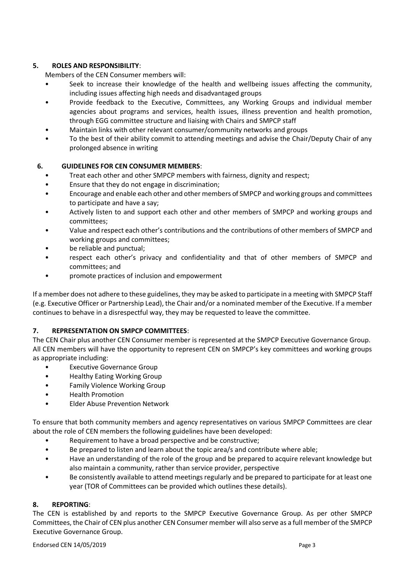## **5. ROLES AND RESPONSIBILITY**:

Members of the CEN Consumer members will:

- Seek to increase their knowledge of the health and wellbeing issues affecting the community, including issues affecting high needs and disadvantaged groups
- Provide feedback to the Executive, Committees, any Working Groups and individual member agencies about programs and services, health issues, illness prevention and health promotion, through EGG committee structure and liaising with Chairs and SMPCP staff
- Maintain links with other relevant consumer/community networks and groups
- To the best of their ability commit to attending meetings and advise the Chair/Deputy Chair of any prolonged absence in writing

## **6. GUIDELINES FOR CEN CONSUMER MEMBERS**:

- Treat each other and other SMPCP members with fairness, dignity and respect;
- Ensure that they do not engage in discrimination;
- Encourage and enable each other and other members of SMPCP and working groups and committees to participate and have a say;
- Actively listen to and support each other and other members of SMPCP and working groups and committees;
- Value and respect each other's contributions and the contributions of other members of SMPCP and working groups and committees;
- be reliable and punctual;
- respect each other's privacy and confidentiality and that of other members of SMPCP and committees; and
- promote practices of inclusion and empowerment

If a member does not adhere to these guidelines, they may be asked to participate in a meeting with SMPCP Staff (e.g. Executive Officer or Partnership Lead), the Chair and/or a nominated member of the Executive. If a member continues to behave in a disrespectful way, they may be requested to leave the committee.

## **7. REPRESENTATION ON SMPCP COMMITTEES**:

The CEN Chair plus another CEN Consumer member is represented at the SMPCP Executive Governance Group. All CEN members will have the opportunity to represent CEN on SMPCP's key committees and working groups as appropriate including:

- Executive Governance Group
- Healthy Eating Working Group
- Family Violence Working Group
- Health Promotion
- Elder Abuse Prevention Network

To ensure that both community members and agency representatives on various SMPCP Committees are clear about the role of CEN members the following guidelines have been developed:

- Requirement to have a broad perspective and be constructive;
- Be prepared to listen and learn about the topic area/s and contribute where able;
- Have an understanding of the role of the group and be prepared to acquire relevant knowledge but also maintain a community, rather than service provider, perspective
- Be consistently available to attend meetings regularly and be prepared to participate for at least one year (TOR of Committees can be provided which outlines these details).

#### **8. REPORTING**:

The CEN is established by and reports to the SMPCP Executive Governance Group. As per other SMPCP Committees, the Chair of CEN plus another CEN Consumer member will also serve as a full member of the SMPCP Executive Governance Group.